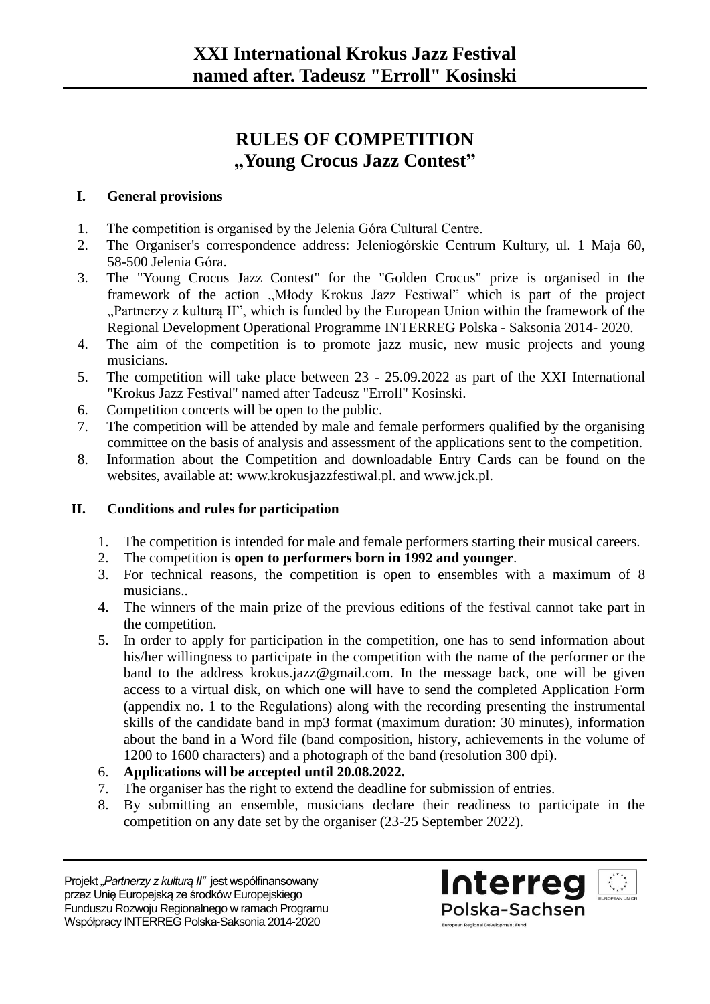# **RULES OF COMPETITION "Young Crocus Jazz Contest"**

### **I. General provisions**

- 1. The competition is organised by the Jelenia Góra Cultural Centre.
- 2. The Organiser's correspondence address: Jeleniogórskie Centrum Kultury, ul. 1 Maja 60, 58-500 Jelenia Góra.
- 3. The "Young Crocus Jazz Contest" for the "Golden Crocus" prize is organised in the framework of the action "Młody Krokus Jazz Festiwal" which is part of the project "Partnerzy z kulturą II", which is funded by the European Union within the framework of the Regional Development Operational Programme INTERREG Polska - Saksonia 2014- 2020.
- 4. The aim of the competition is to promote jazz music, new music projects and young musicians.
- 5. The competition will take place between 23 25.09.2022 as part of the XXI International "Krokus Jazz Festival" named after Tadeusz "Erroll" Kosinski.
- 6. Competition concerts will be open to the public.
- 7. The competition will be attended by male and female performers qualified by the organising committee on the basis of analysis and assessment of the applications sent to the competition.
- 8. Information about the Competition and downloadable Entry Cards can be found on the websites, available at: www.krokusjazzfestiwal.pl. and www.jck.pl.

## **II. Conditions and rules for participation**

- 1. The competition is intended for male and female performers starting their musical careers.
- 2. The competition is **open to performers born in 1992 and younger**.
- 3. For technical reasons, the competition is open to ensembles with a maximum of 8 musicians..
- 4. The winners of the main prize of the previous editions of the festival cannot take part in the competition.
- 5. In order to apply for participation in the competition, one has to send information about his/her willingness to participate in the competition with the name of the performer or the band to the address krokus.jazz@gmail.com. In the message back, one will be given access to a virtual disk, on which one will have to send the completed Application Form (appendix no. 1 to the Regulations) along with the recording presenting the instrumental skills of the candidate band in mp3 format (maximum duration: 30 minutes), information about the band in a Word file (band composition, history, achievements in the volume of 1200 to 1600 characters) and a photograph of the band (resolution 300 dpi).
- 6. **Applications will be accepted until 20.08.2022.**
- 7. The organiser has the right to extend the deadline for submission of entries.
- 8. By submitting an ensemble, musicians declare their readiness to participate in the competition on any date set by the organiser (23-25 September 2022).

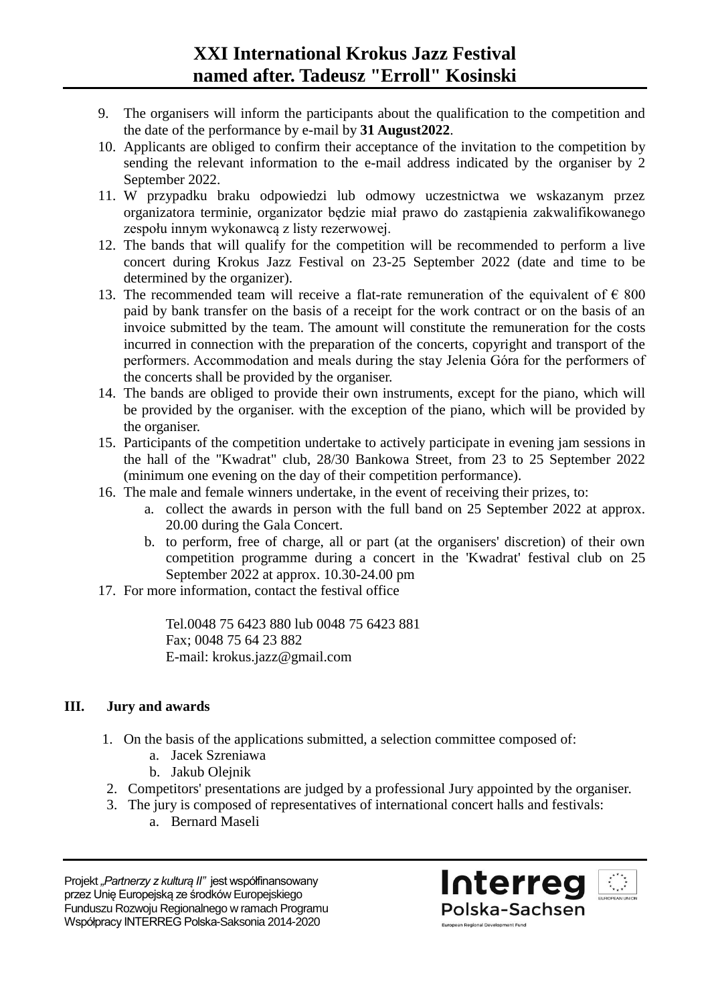- 9. The organisers will inform the participants about the qualification to the competition and the date of the performance by e-mail by **31 August2022**.
- 10. Applicants are obliged to confirm their acceptance of the invitation to the competition by sending the relevant information to the e-mail address indicated by the organiser by 2 September 2022.
- 11. W przypadku braku odpowiedzi lub odmowy uczestnictwa we wskazanym przez organizatora terminie, organizator będzie miał prawo do zastąpienia zakwalifikowanego zespołu innym wykonawcą z listy rezerwowej.
- 12. The bands that will qualify for the competition will be recommended to perform a live concert during Krokus Jazz Festival on 23-25 September 2022 (date and time to be determined by the organizer).
- 13. The recommended team will receive a flat-rate remuneration of the equivalent of  $\epsilon$  800 paid by bank transfer on the basis of a receipt for the work contract or on the basis of an invoice submitted by the team. The amount will constitute the remuneration for the costs incurred in connection with the preparation of the concerts, copyright and transport of the performers. Accommodation and meals during the stay Jelenia Góra for the performers of the concerts shall be provided by the organiser.
- 14. The bands are obliged to provide their own instruments, except for the piano, which will be provided by the organiser. with the exception of the piano, which will be provided by the organiser.
- 15. Participants of the competition undertake to actively participate in evening jam sessions in the hall of the "Kwadrat" club, 28/30 Bankowa Street, from 23 to 25 September 2022 (minimum one evening on the day of their competition performance).
- 16. The male and female winners undertake, in the event of receiving their prizes, to:
	- a. collect the awards in person with the full band on 25 September 2022 at approx. 20.00 during the Gala Concert.
	- b. to perform, free of charge, all or part (at the organisers' discretion) of their own competition programme during a concert in the 'Kwadrat' festival club on 25 September 2022 at approx. 10.30-24.00 pm
- 17. For more information, contact the festival office

Tel.0048 75 6423 880 lub 0048 75 6423 881 Fax; 0048 75 64 23 882 E-mail: krokus.jazz@gmail.com

## **III. Jury and awards**

- 1. On the basis of the applications submitted, a selection committee composed of:
	- a. Jacek Szreniawa
	- b. Jakub Olejnik
- 2. Competitors' presentations are judged by a professional Jury appointed by the organiser.
- 3. The jury is composed of representatives of international concert halls and festivals:
	- a. Bernard Maseli

Projekt "Partnerzy z kulturą II" jest współfinansowany przez Unię Europejską ze środków Europejskiego Funduszu Rozwoju Regionalnego w ramach Programu Współpracy INTERREG Polska-Saksonia 2014-2020

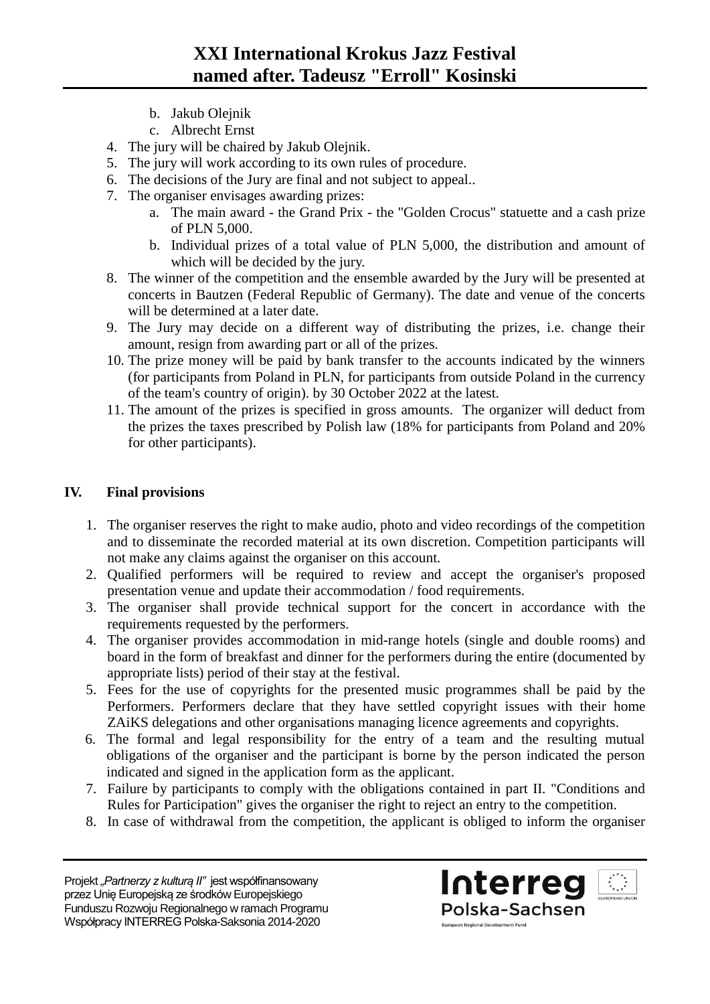- b. Jakub Olejnik
- c. Albrecht Ernst
- 4. The jury will be chaired by Jakub Olejnik.
- 5. The jury will work according to its own rules of procedure.
- 6. The decisions of the Jury are final and not subject to appeal..
- 7. The organiser envisages awarding prizes:
	- a. The main award the Grand Prix the "Golden Crocus" statuette and a cash prize of PLN 5,000.
	- b. Individual prizes of a total value of PLN 5,000, the distribution and amount of which will be decided by the jury.
- 8. The winner of the competition and the ensemble awarded by the Jury will be presented at concerts in Bautzen (Federal Republic of Germany). The date and venue of the concerts will be determined at a later date.
- 9. The Jury may decide on a different way of distributing the prizes, i.e. change their amount, resign from awarding part or all of the prizes.
- 10. The prize money will be paid by bank transfer to the accounts indicated by the winners (for participants from Poland in PLN, for participants from outside Poland in the currency of the team's country of origin). by 30 October 2022 at the latest.
- 11. The amount of the prizes is specified in gross amounts. The organizer will deduct from the prizes the taxes prescribed by Polish law (18% for participants from Poland and 20% for other participants).

## **IV. Final provisions**

- 1. The organiser reserves the right to make audio, photo and video recordings of the competition and to disseminate the recorded material at its own discretion. Competition participants will not make any claims against the organiser on this account.
- 2. Qualified performers will be required to review and accept the organiser's proposed presentation venue and update their accommodation / food requirements.
- 3. The organiser shall provide technical support for the concert in accordance with the requirements requested by the performers.
- 4. The organiser provides accommodation in mid-range hotels (single and double rooms) and board in the form of breakfast and dinner for the performers during the entire (documented by appropriate lists) period of their stay at the festival.
- 5. Fees for the use of copyrights for the presented music programmes shall be paid by the Performers. Performers declare that they have settled copyright issues with their home ZAiKS delegations and other organisations managing licence agreements and copyrights.
- 6. The formal and legal responsibility for the entry of a team and the resulting mutual obligations of the organiser and the participant is borne by the person indicated the person indicated and signed in the application form as the applicant.
- 7. Failure by participants to comply with the obligations contained in part II. "Conditions and Rules for Participation" gives the organiser the right to reject an entry to the competition.
- 8. In case of withdrawal from the competition, the applicant is obliged to inform the organiser